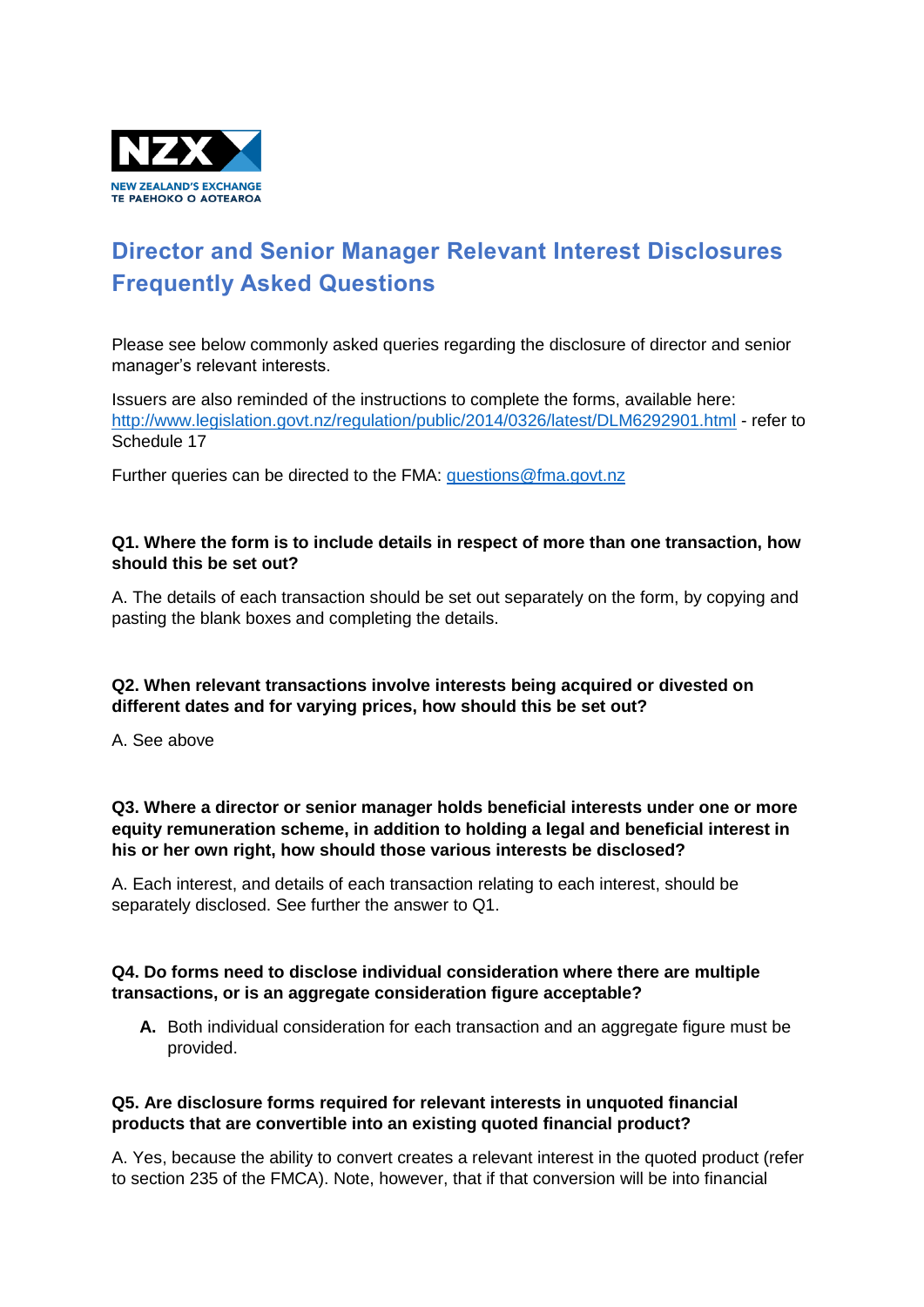

# **Director and Senior Manager Relevant Interest Disclosures Frequently Asked Questions**

Please see below commonly asked queries regarding the disclosure of director and senior manager's relevant interests.

Issuers are also reminded of the instructions to complete the forms, available here: <http://www.legislation.govt.nz/regulation/public/2014/0326/latest/DLM6292901.html> - refer to Schedule 17

Further queries can be directed to the FMA: [questions@fma.govt.nz](mailto:questions@fma.govt.nz)

#### **Q1. Where the form is to include details in respect of more than one transaction, how should this be set out?**

A. The details of each transaction should be set out separately on the form, by copying and pasting the blank boxes and completing the details.

## **Q2. When relevant transactions involve interests being acquired or divested on different dates and for varying prices, how should this be set out?**

A. See above

**Q3. Where a director or senior manager holds beneficial interests under one or more equity remuneration scheme, in addition to holding a legal and beneficial interest in his or her own right, how should those various interests be disclosed?**

A. Each interest, and details of each transaction relating to each interest, should be separately disclosed. See further the answer to Q1.

### **Q4. Do forms need to disclose individual consideration where there are multiple transactions, or is an aggregate consideration figure acceptable?**

**A.** Both individual consideration for each transaction and an aggregate figure must be provided.

### **Q5. Are disclosure forms required for relevant interests in unquoted financial products that are convertible into an existing quoted financial product?**

A. Yes, because the ability to convert creates a relevant interest in the quoted product (refer to section 235 of the FMCA). Note, however, that if that conversion will be into financial